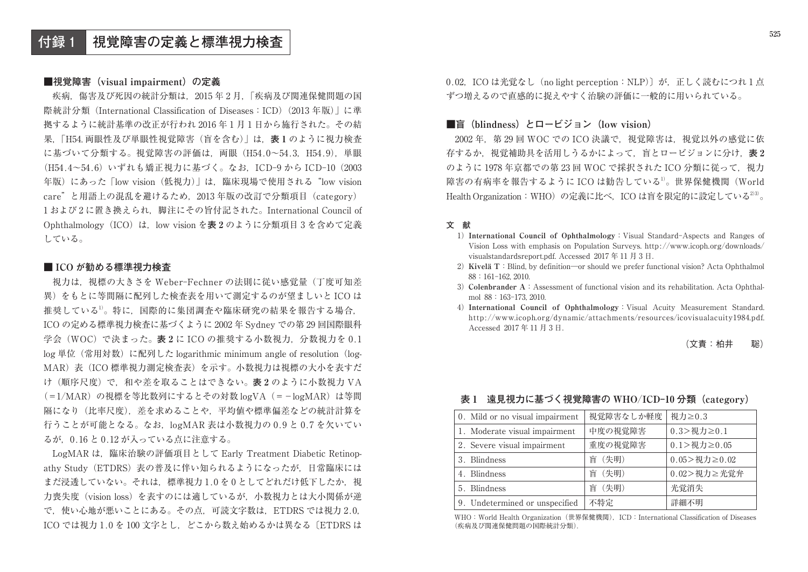### ■視覚障害 (visual impairment) の定義

**524**

疾病,傷害及び死因の統計分類は,2015 年 2 月,「疾病及び関連保健問題の国際統計分類 (International Classification of Diseases: ICD) (2013年版) に進 拠するように統計基準の改正が行われ 2016 年 1 月 1 日から施行された。その結 果,「H54. 両眼性及び単眼性視覚障害(盲を含む)」は,**表 1** のように視力検査 に基づいて分類する。視覚障害の評価は,両眼(H54.0〜54.3,H54.9),単眼 (H54.4〜54.6)いずれも矯正視力に基づく。なお,ICD-9 から ICD-10(2003 年版)にあった「low vision (低視力)」は、臨床現場で使用される "low vision care"と用語上の混乱を避けるため、2013年版の改訂で分類項目 (category) 1 および 2 に置き換えられ,脚注にその旨付記された。International Council of Ophthalmology(ICO)は,low vision を**表 2** のように分類項目 3 を含めて定義 している。

#### **■ ICO が勧める標準視力検査**

視力は,視標の大きさを Weber-Fechner の法則に従い感覚量(丁度可知差異)をもとに等間隔に配列した検査表を用いて測定するのが望ましいと ICO は推奨している1)。特に,国際的に集団調査や臨床研究の結果を報告する場合,ICO の定める標準視力検査に基づくように 2002 年 Sydney での第 29 回国際眼科 学会(WOC)で決まった。**表 2** に ICO の推奨する小数視力,分数視力を 0.1 log 単位(常用対数)に配列した logarithmic minimum angle of resolution(log-MAR)表(ICO 標準視力測定検査表)を示す。小数視力は視標の大小を表すだ け(順序尺度)で,和や差を取ることはできない。**表 2** のように小数視力 VA (=1/MAR)の視標を等比数列にするとその対数 logVA(=−logMAR)は等間 隔になり(比率尺度),差を求めることや,平均値や標準偏差などの統計計算を行うことが可能となる。なお,logMAR 表は小数視力の 0.9 と 0.7 を欠いてい るが,0.16 と 0.12 が入っている点に注意する。

LogMAR は,臨床治験の評価項目として Early Treatment Diabetic Retinopathy Study(ETDRS)表の普及に伴い知られるようになったが,日常臨床には まだ浸透していない。それは,標準視力1.0を0としてどれだけ低下したか,視 力喪失度(vision loss)を表すのには適しているが,小数視力とは大小関係が逆で,使い心地が悪いことにある。その点,可読文字数は,ETDRS では視力 2.0,ICO では視力 1.0 を 100 文字とし. どこから数え始めるかは異なる〔ETDRS は

0.02, ICO は光覚なし (no light perception: NLP)] が,正しく読むにつれ1点 ずつ増えるので直感的に捉えやすく治験の評価に一般的に用いられている。

# ■盲 (blindness) とロービジョン (low vision)

2002 年,第 29 回 WOC での ICO 決議で,視覚障害は,視覚以外の感覚に依存するか,視覚補助具を活用しうるかによって,盲とロービジョンに分け,**表 2** のように 1978 年京都での第 23 回 WOC で採択された ICO 分類に従って,視力障害の有病率を報告するように ICO は勧告している1)。世界保健機関(World Health Organization: WHO)の定義に比べ、ICO は盲を限定的に設定している<sup>233</sup>。

#### **文 献**

- 1) **International Council of Ophthalmology**:Visual Standard-Aspects and Ranges of Vision Loss with emphasis on Population Surveys. http://www.icoph.org/downloads/ visualstandardsreport.pdf. Accessed 2017 年 11 月 3 日.
- 2) **Kivelä T**:Blind, by definition―or should we prefer functional vision? Acta Ophthalmol 88:161-162, 2010.
- 3) **Colenbrander A**:Assessment of functional vision and its rehabilitation. Acta Ophthalmol 88:163-173, 2010.
- 4) **International Council of Ophthalmology**:Visual Acuity Measurement Standard. http://www.icoph.org/dynamic/attachments/resources/icovisualacuity1984.pdf. Accessed 2017 年 11 月 3 日.

#### (文責:柏井 聡)

## **表 1 遠見視力に基づく視覚障害の WHO**/**ICD-10 分類(category)**

| 0. Mild or no visual impairment | 視覚障害なしか軽度 | 視力≥0.3                 |
|---------------------------------|-----------|------------------------|
| 1. Moderate visual impairment   | 中度の視覚障害   | $0.3$ > 視力 $\geq 0.1$  |
| 2. Severe visual impairment     | 重度の視覚障害   | $0.1$ > 視力 $\geq 0.05$ |
| 3. Blindness                    | (失明)<br>盲 | $0.05$ > 視力 ≥ 0.02     |
| 4. Blindness                    | 盲 (失明)    | 0.02>視力≥光覚弁            |
| 5. Blindness                    | 盲 (失明)    | 光覚消失                   |
| 9. Undetermined or unspecified  | 不特定       | 詳細不明                   |

WHO: World Health Organization (世界保健機関), ICD: International Classification of Diseases (疾病及び関連保健問題の国際統計分類).